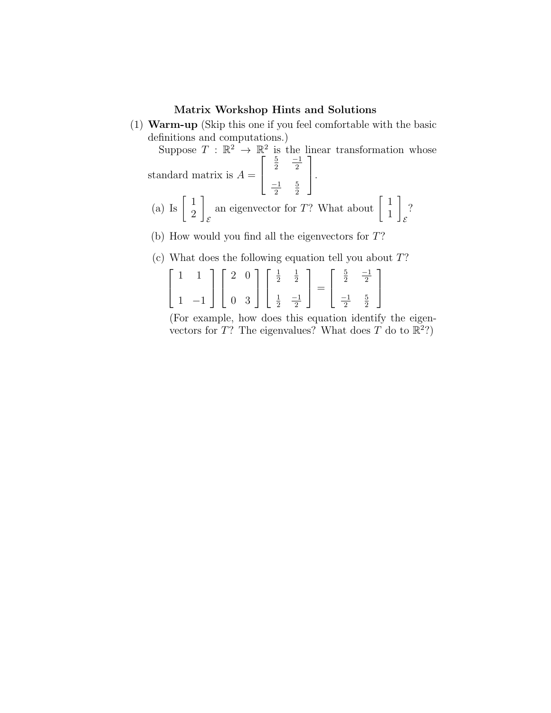## Matrix Workshop Hints and Solutions

(1) Warm-up (Skip this one if you feel comfortable with the basic definitions and computations.)

Suppose  $T : \mathbb{R}^2 \to \mathbb{R}^2$  is the linear transformation whose standard matrix is  $A =$  $\sqrt{ }$  $\vert$ 5 2 −1 2  $-1$ 2 5 2 1  $\vert \cdot$ (a) Is  $\begin{bmatrix} 1 \\ 2 \end{bmatrix}$ 2 1  $\mathcal E$ an eigenvector for T? What about  $\begin{bmatrix} 1 \\ 1 \end{bmatrix}$ 1 1 E ?

- (b) How would you find all the eigenvectors for T?
- (c) What does the following equation tell you about T?

$$
\begin{bmatrix} 1 & 1 \ 1 & -1 \end{bmatrix} \begin{bmatrix} 2 & 0 \ 0 & 3 \end{bmatrix} \begin{bmatrix} \frac{1}{2} & \frac{1}{2} \\ \frac{1}{2} & \frac{-1}{2} \end{bmatrix} = \begin{bmatrix} \frac{5}{2} & \frac{-1}{2} \\ \frac{-1}{2} & \frac{5}{2} \end{bmatrix}
$$

(For example, how does this equation identify the eigenvectors for T? The eigenvalues? What does T do to  $\mathbb{R}^2$ ?)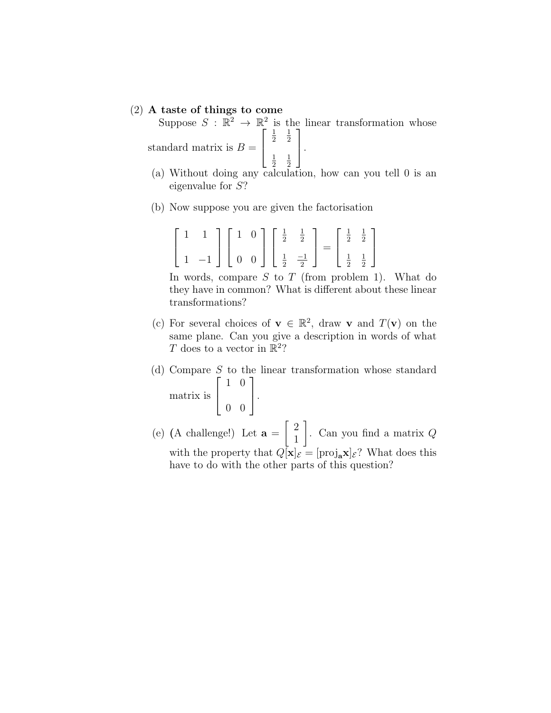## (2) A taste of things to come

Suppose  $S : \mathbb{R}^2 \to \mathbb{R}^2$  is the linear transformation whose standard matrix is  $B =$  $\sqrt{ }$  $\vert$ 1 2 1 2 1 2 1 2 1  $\vert \cdot$ 

- (a) Without doing any calculation, how can you tell 0 is an eigenvalue for S?
- (b) Now suppose you are given the factorisation

| $\begin{bmatrix} 1 & 1 \\ 1 & -1 \end{bmatrix} \begin{bmatrix} 1 & 0 \\ 0 & 0 \end{bmatrix} \begin{bmatrix} \frac{1}{2} & \frac{1}{2} \\ \frac{1}{2} & \frac{-1}{2} \end{bmatrix} = \begin{bmatrix} \frac{1}{2} & \frac{1}{2} \\ \frac{1}{2} & \frac{1}{2} \end{bmatrix}$ |  |  |  |  |
|---------------------------------------------------------------------------------------------------------------------------------------------------------------------------------------------------------------------------------------------------------------------------|--|--|--|--|

In words, compare  $S$  to  $T$  (from problem 1). What do they have in common? What is different about these linear transformations?

- (c) For several choices of  $\mathbf{v} \in \mathbb{R}^2$ , draw **v** and  $T(\mathbf{v})$  on the same plane. Can you give a description in words of what T does to a vector in  $\mathbb{R}^2$ ?
- (d) Compare S to the linear transformation whose standard matrix is  $\sqrt{ }$  $\vert$ 1 0 0 0 1  $\vert \cdot$
- (e) (A challenge!) Let  $\mathbf{a} =$  $\lceil 2$ 1 1 . Can you find a matrix Q with the property that  $Q[\mathbf{x}]_{\mathcal{E}} = [\text{proj}_{\mathbf{a}} \mathbf{x}]_{\mathcal{E}}$ ? What does this have to do with the other parts of this question?